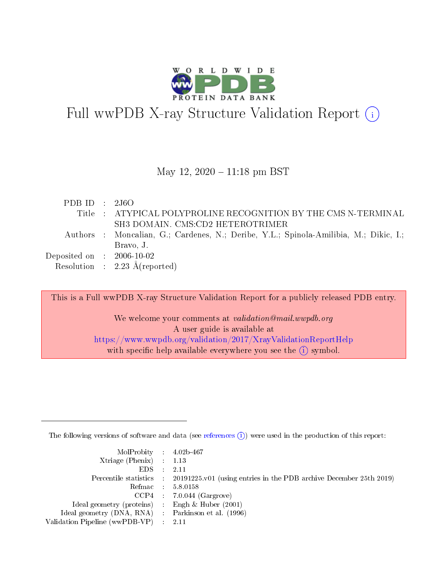

# Full wwPDB X-ray Structure Validation Report  $(i)$

### May 12,  $2020 - 11:18$  pm BST

| PDB ID : $2J6O$             |                                                                                       |
|-----------------------------|---------------------------------------------------------------------------------------|
|                             | Title : ATYPICAL POLYPROLINE RECOGNITION BY THE CMS N-TERMINAL                        |
|                             | SH3 DOMAIN. CMS:CD2 HETEROTRIMER                                                      |
|                             | Authors : Moncalian, G.; Cardenes, N.; Deribe, Y.L.; Spinola-Amilibia, M.; Dikic, I.; |
|                             | Bravo, J.                                                                             |
| Deposited on : $2006-10-02$ |                                                                                       |
|                             | Resolution : $2.23 \text{ Å}$ (reported)                                              |

This is a Full wwPDB X-ray Structure Validation Report for a publicly released PDB entry. We welcome your comments at validation@mail.wwpdb.org A user guide is available at <https://www.wwpdb.org/validation/2017/XrayValidationReportHelp> with specific help available everywhere you see the  $(i)$  symbol.

The following versions of software and data (see [references](https://www.wwpdb.org/validation/2017/XrayValidationReportHelp#references)  $(i)$ ) were used in the production of this report:

| $MolProbability$ 4.02b-467<br>Xtriage (Phenix) $: 1.13$ |                                                                                                     |
|---------------------------------------------------------|-----------------------------------------------------------------------------------------------------|
| $EDS$ :                                                 | -2.11<br>Percentile statistics : 20191225.v01 (using entries in the PDB archive December 25th 2019) |
|                                                         | Refmac : 5.8.0158                                                                                   |
|                                                         | $CCP4$ : 7.0.044 (Gargrove)                                                                         |
| Ideal geometry (proteins) : Engh $\&$ Huber (2001)      |                                                                                                     |
| Ideal geometry (DNA, RNA) : Parkinson et al. (1996)     |                                                                                                     |
| Validation Pipeline (wwPDB-VP) :                        | -2.11                                                                                               |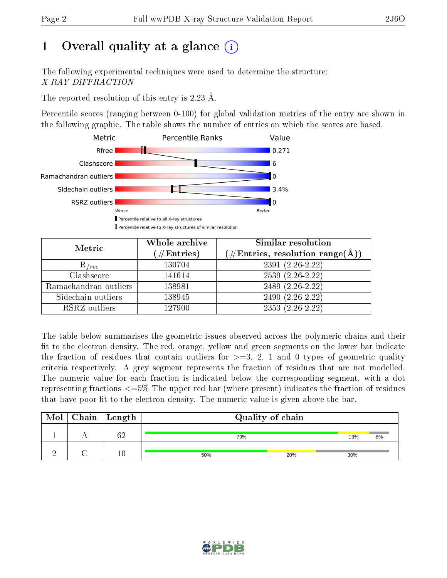# 1 [O](https://www.wwpdb.org/validation/2017/XrayValidationReportHelp#overall_quality)verall quality at a glance  $(i)$

The following experimental techniques were used to determine the structure: X-RAY DIFFRACTION

The reported resolution of this entry is 2.23 Å.

Percentile scores (ranging between 0-100) for global validation metrics of the entry are shown in the following graphic. The table shows the number of entries on which the scores are based.



| Metric                | Whole archive<br>$(\#\mathrm{Entries})$ | Similar resolution<br>$(\#\text{Entries},\,\text{resolution}\,\,\text{range}(\textup{\AA}))$ |
|-----------------------|-----------------------------------------|----------------------------------------------------------------------------------------------|
| $R_{free}$            | 130704                                  | $2391(2.26-2.22)$                                                                            |
| Clashscore            | 141614                                  | $2539(2.26-2.22)$                                                                            |
| Ramachandran outliers | 138981                                  | 2489 $(2.\overline{26-2.22})$                                                                |
| Sidechain outliers    | 138945                                  | $2490(2.26-2.22)$                                                                            |
| RSRZ outliers         | 127900                                  | $2353(2.26-2.22)$                                                                            |

The table below summarises the geometric issues observed across the polymeric chains and their fit to the electron density. The red, orange, yellow and green segments on the lower bar indicate the fraction of residues that contain outliers for  $>=3, 2, 1$  and 0 types of geometric quality criteria respectively. A grey segment represents the fraction of residues that are not modelled. The numeric value for each fraction is indicated below the corresponding segment, with a dot representing fractions  $\epsilon=5\%$  The upper red bar (where present) indicates the fraction of residues that have poor fit to the electron density. The numeric value is given above the bar.

| Mol | $C$ hain   Length | Quality of chain |     |     |    |  |
|-----|-------------------|------------------|-----|-----|----|--|
|     | ΩΩ                | 79%              |     | 13% | 8% |  |
|     | 10                | 50%              | 20% | 30% |    |  |

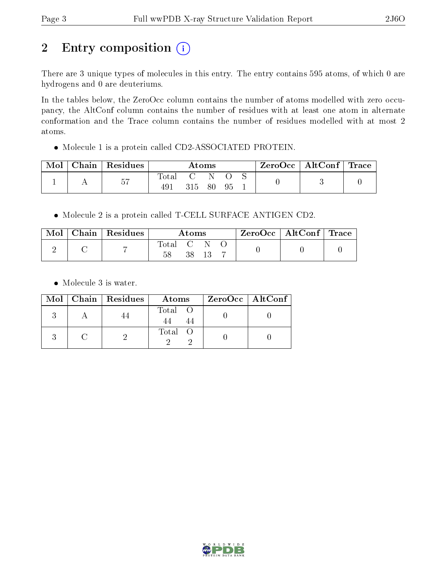# 2 Entry composition  $(i)$

There are 3 unique types of molecules in this entry. The entry contains 595 atoms, of which 0 are hydrogens and 0 are deuteriums.

In the tables below, the ZeroOcc column contains the number of atoms modelled with zero occupancy, the AltConf column contains the number of residues with at least one atom in alternate conformation and the Trace column contains the number of residues modelled with at most 2 atoms.

Molecule 1 is a protein called CD2-ASSOCIATED PROTEIN.

| Mol | Chain   Residues | $\rm{Atoms}$ |      |       | $\text{ZeroOcc} \mid \text{AltConf} \mid \text{Trace}$ |  |  |  |
|-----|------------------|--------------|------|-------|--------------------------------------------------------|--|--|--|
|     | 57               | $\rm Total$  | 315. | - 80- | .95                                                    |  |  |  |

Molecule 2 is a protein called T-CELL SURFACE ANTIGEN CD2.

| Mol | $\text{Chain}$   Residues | Atoms |  |  |  | $\rm ZeroOcc$   AltConf   Trace |  |
|-----|---------------------------|-------|--|--|--|---------------------------------|--|
|     |                           | Total |  |  |  |                                 |  |

• Molecule 3 is water.

|  | Mol   Chain   Residues | Atoms   | $\rm ZeroOcc \mid AltConf \mid$ |
|--|------------------------|---------|---------------------------------|
|  |                        | Total O |                                 |
|  |                        | Total   |                                 |

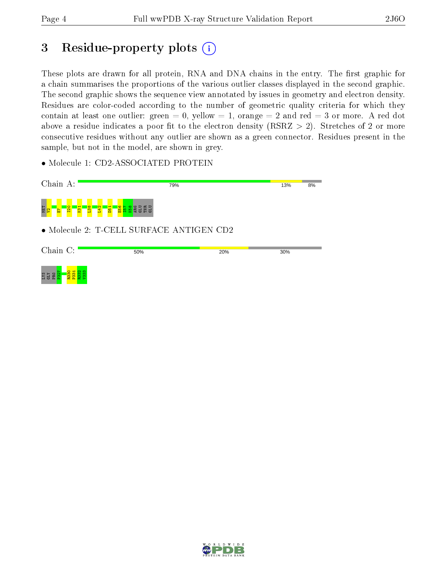## 3 Residue-property plots  $(i)$

These plots are drawn for all protein, RNA and DNA chains in the entry. The first graphic for a chain summarises the proportions of the various outlier classes displayed in the second graphic. The second graphic shows the sequence view annotated by issues in geometry and electron density. Residues are color-coded according to the number of geometric quality criteria for which they contain at least one outlier: green  $= 0$ , yellow  $= 1$ , orange  $= 2$  and red  $= 3$  or more. A red dot above a residue indicates a poor fit to the electron density (RSRZ  $> 2$ ). Stretches of 2 or more consecutive residues without any outlier are shown as a green connector. Residues present in the sample, but not in the model, are shown in grey.

• Molecule 1: CD2-ASSOCIATED PROTEIN



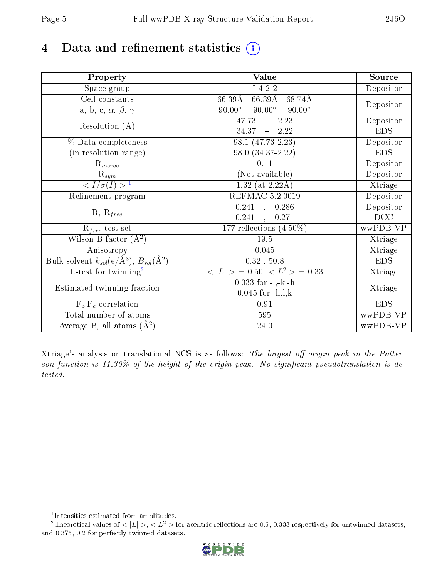# 4 Data and refinement statistics  $(i)$

| Property                                                             | <b>Value</b>                                     | Source     |
|----------------------------------------------------------------------|--------------------------------------------------|------------|
| Space group                                                          | I 4 2 2                                          | Depositor  |
| Cell constants                                                       | $66.39\text{\AA}$<br>$66.39\text{\AA}$<br>68.74Å | Depositor  |
| a, b, c, $\alpha$ , $\beta$ , $\gamma$                               | $90.00^\circ$<br>$90.00^\circ$<br>$90.00^\circ$  |            |
| Resolution $(A)$                                                     | 47.73<br>$-2.23$                                 | Depositor  |
|                                                                      | $34.37 - 2.22$                                   | <b>EDS</b> |
| % Data completeness                                                  | 98.1 (47.73-2.23)                                | Depositor  |
| (in resolution range)                                                | 98.0 (34.37-2.22)                                | <b>EDS</b> |
| $R_{merge}$                                                          | 0.11                                             | Depositor  |
| $\bar{\mathbf{R}}_{\underline{sym}}$                                 | (Not available)                                  | Depositor  |
| $\sqrt{I/\sigma(I)} > 1$                                             | $1.32$ (at 2.22Å)                                | Xtriage    |
| Refinement program                                                   | <b>REFMAC 5.2.0019</b>                           | Depositor  |
|                                                                      | 0.241, 0.286                                     | Depositor  |
| $R, R_{free}$                                                        | 0.241<br>0.271<br>$\frac{1}{2}$                  | DCC        |
| $R_{free}$ test set                                                  | 177 reflections $(4.50\%)$                       | wwPDB-VP   |
| Wilson B-factor $(A^2)$                                              | 19.5                                             | Xtriage    |
| Anisotropy                                                           | 0.045                                            | Xtriage    |
| Bulk solvent $k_{sol}(e/\mathring{A}^3)$ , $B_{sol}(\mathring{A}^2)$ | $0.32$ , $50.8$                                  | <b>EDS</b> |
| $\overline{L-test for }$ twinning <sup>2</sup>                       | $< L >$ = 0.50, $< L^2 >$ = 0.33                 | Xtriage    |
| Estimated twinning fraction                                          | $0.033$ for $-l,-k,-h$                           | Xtriage    |
|                                                                      | $0.045$ for $-h, l, k$                           |            |
| $F_o, F_c$ correlation                                               | 0.91                                             | <b>EDS</b> |
| Total number of atoms                                                | 595                                              | wwPDB-VP   |
| Average B, all atoms $(A^2)$                                         | 24.0                                             | wwPDB-VP   |

Xtriage's analysis on translational NCS is as follows: The largest off-origin peak in the Patterson function is  $11.30\%$  of the height of the origin peak. No significant pseudotranslation is detected.

<sup>&</sup>lt;sup>2</sup>Theoretical values of  $\langle |L| \rangle$ ,  $\langle L^2 \rangle$  for acentric reflections are 0.5, 0.333 respectively for untwinned datasets, and 0.375, 0.2 for perfectly twinned datasets.



<span id="page-4-1"></span><span id="page-4-0"></span><sup>1</sup> Intensities estimated from amplitudes.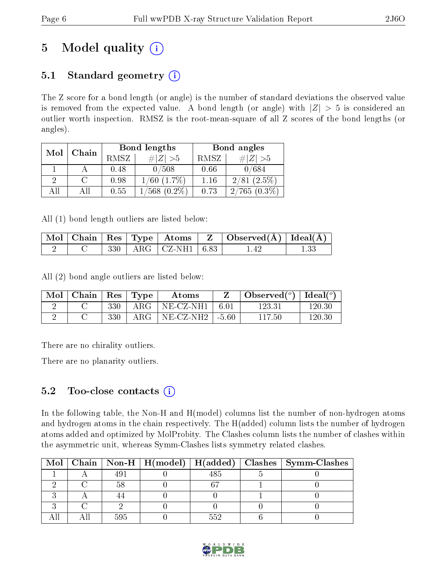# 5 Model quality  $(i)$

## 5.1 Standard geometry  $(i)$

The Z score for a bond length (or angle) is the number of standard deviations the observed value is removed from the expected value. A bond length (or angle) with  $|Z| > 5$  is considered an outlier worth inspection. RMSZ is the root-mean-square of all Z scores of the bond lengths (or angles).

| Mol | Chain |             | <b>Bond lengths</b> | Bond angles |                |  |
|-----|-------|-------------|---------------------|-------------|----------------|--|
|     |       | <b>RMSZ</b> | $\# Z  > 5$         | RMSZ        | $\# Z  > 5$    |  |
|     |       | 0.48        | 0/508               | 0.66        | 0/684          |  |
| 2   |       | 0.98        | $1/60$ $(1.7\%)$    | 1.16        | $2/81(2.5\%)$  |  |
| All |       | 0.55        | $(0.2\%)$<br>568.   | 0.73        | $2/765(0.3\%)$ |  |

All (1) bond length outliers are listed below:

|  |  |                                                                                                   | $\mid$ Mol $\mid$ Chain $\mid$ Res $\mid$ Type $\mid$ Atoms $\mid$ Z $\mid$ Observed(Å) $\mid$ Ideal(Å) $\mid$ |  |
|--|--|---------------------------------------------------------------------------------------------------|----------------------------------------------------------------------------------------------------------------|--|
|  |  | $\left\lceil \begin{array}{c c} 330 & \text{ARG} & \text{CZ-NH1} & 6.83 \end{array} \right\rceil$ |                                                                                                                |  |

All (2) bond angle outliers are listed below:

| Mol | Chain   $\text{Res}$   $\text{Type}$ |     |               | Atoms                 |        | Observed $(^\circ)$ | $\text{Ideal}({}^o)$ |
|-----|--------------------------------------|-----|---------------|-----------------------|--------|---------------------|----------------------|
|     |                                      | 330 | ${\rm ARG}^-$ | NE-CZ-NH1             | - 6.01 | 123.31              | 120.30               |
|     |                                      | 330 | $\rm{ARG}$    | $NE-CL-NH2$   $-5.60$ |        | 117.50              | $120.30\,$           |

There are no chirality outliers.

There are no planarity outliers.

### 5.2 Too-close contacts  $\overline{()}$

In the following table, the Non-H and H(model) columns list the number of non-hydrogen atoms and hydrogen atoms in the chain respectively. The H(added) column lists the number of hydrogen atoms added and optimized by MolProbity. The Clashes column lists the number of clashes within the asymmetric unit, whereas Symm-Clashes lists symmetry related clashes.

|  |     |      | Mol   Chain   Non-H   H(model)   H(added)   Clashes   Symm-Clashes |
|--|-----|------|--------------------------------------------------------------------|
|  | 491 |      |                                                                    |
|  |     |      |                                                                    |
|  |     |      |                                                                    |
|  |     |      |                                                                    |
|  | 595 | -59- |                                                                    |

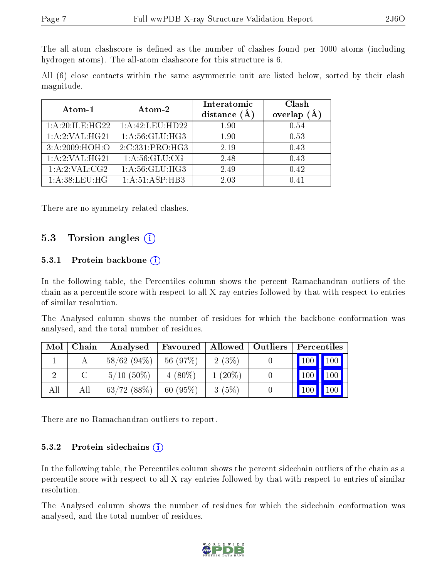The all-atom clashscore is defined as the number of clashes found per 1000 atoms (including hydrogen atoms). The all-atom clashscore for this structure is 6.

All (6) close contacts within the same asymmetric unit are listed below, sorted by their clash magnitude.

| Atom-1             | Atom-2              |      | Clash<br>(Å<br>overlap |  |
|--------------------|---------------------|------|------------------------|--|
| 1: A:20: ILE: HG22 | 1: A: 42: LEU: HD22 | 1.90 | 0.54                   |  |
| 1:A:2:VAL:HG21     | 1: A:56: GLU:HG3    | 1.90 | 0.53                   |  |
| 3:A:2009:HOH:O     | 2:C:331:PRO:HG3     | 2.19 | 0.43                   |  |
| 1:A:2:VAL:HG21     | 1: A:56: GLU:CG     | 2.48 | 0.43                   |  |
| 1: A:2: VAL:CG2    | 1: A:56: GLU: HG3   | 2.49 | 0.42                   |  |
| 1: A:38:LEU:HG     | 1:A:51:ASP:HB3      | 2.03 | 0.41                   |  |

There are no symmetry-related clashes.

### 5.3 Torsion angles  $(i)$

#### 5.3.1 Protein backbone  $(i)$

In the following table, the Percentiles column shows the percent Ramachandran outliers of the chain as a percentile score with respect to all X-ray entries followed by that with respect to entries of similar resolution.

The Analysed column shows the number of residues for which the backbone conformation was analysed, and the total number of residues.

| Mol | Chain | Analysed      | Favoured  | Allowed   Outliers | Percentiles |                    |
|-----|-------|---------------|-----------|--------------------|-------------|--------------------|
|     |       | $58/62(94\%)$ | 56 (97%)  | 2(3%)              | 100 100     |                    |
|     |       | $5/10(50\%)$  | $4(80\%)$ | $1(20\%)$          | 100         | $\blacksquare$ 100 |
| All | All   | 63/72(88%)    | 60(95%)   | 3(5%)              | 100         | $\vert$ 100        |

There are no Ramachandran outliers to report.

#### 5.3.2 Protein sidechains  $(i)$

In the following table, the Percentiles column shows the percent sidechain outliers of the chain as a percentile score with respect to all X-ray entries followed by that with respect to entries of similar resolution.

The Analysed column shows the number of residues for which the sidechain conformation was analysed, and the total number of residues.

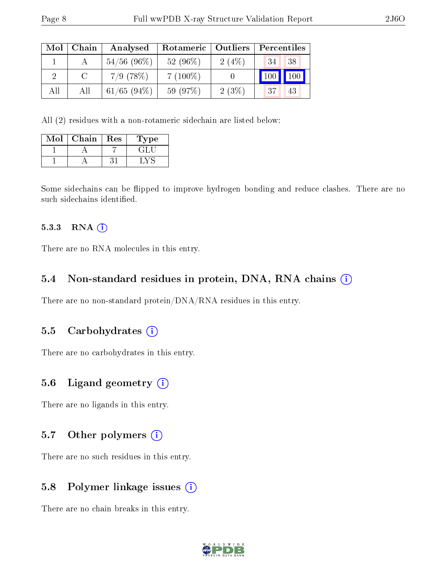| Mol | Chain | Analysed       | Rotameric  | Outliers | Percentiles |
|-----|-------|----------------|------------|----------|-------------|
|     |       | $54/56$ (96\%) | 52 (96%)   | 2(4%)    | 38<br>34    |
|     |       | $7/9$ (78\%)   | $7(100\%)$ |          | 100<br>100  |
| All | Αll   | $61/65$ (94\%) | 59 (97%)   | 2(3%)    | 37<br>43    |

All (2) residues with a non-rotameric sidechain are listed below:

| $\operatorname{Mol}$ | Chain | Res | <b>Type</b> |  |
|----------------------|-------|-----|-------------|--|
|                      |       |     |             |  |
|                      |       |     |             |  |

Some sidechains can be flipped to improve hydrogen bonding and reduce clashes. There are no such sidechains identified.

#### $5.3.3$  RNA  $(i)$

There are no RNA molecules in this entry.

#### 5.4 Non-standard residues in protein, DNA, RNA chains (i)

There are no non-standard protein/DNA/RNA residues in this entry.

#### 5.5 Carbohydrates (i)

There are no carbohydrates in this entry.

#### 5.6 Ligand geometry (i)

There are no ligands in this entry.

### 5.7 [O](https://www.wwpdb.org/validation/2017/XrayValidationReportHelp#nonstandard_residues_and_ligands)ther polymers (i)

There are no such residues in this entry.

#### 5.8 Polymer linkage issues (i)

There are no chain breaks in this entry.